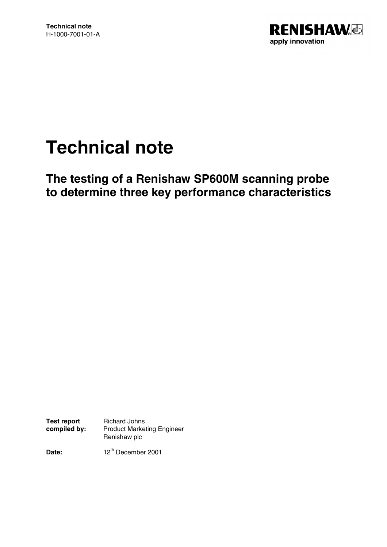

# **Technical note**

**The testing of a Renishaw SP600M scanning probe to determine three key performance characteristics**

**Test report compiled by:** Richard Johns Product Marketing Engineer Renishaw plc

**Date:** 12<sup>th</sup> December 2001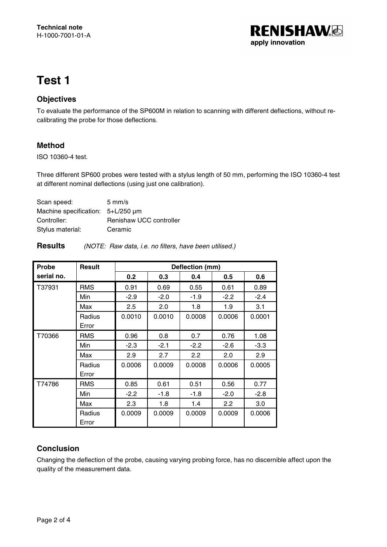

# **Test 1**

#### **Objectives**

To evaluate the performance of the SP600M in relation to scanning with different deflections, without recalibrating the probe for those deflections.

### **Method**

ISO 10360-4 test.

Three different SP600 probes were tested with a stylus length of 50 mm, performing the ISO 10360-4 test at different nominal deflections (using just one calibration).

| $5 \text{ mm/s}$                       |
|----------------------------------------|
| Machine specification: $5+L/250 \mu m$ |
| Renishaw UCC controller                |
| Ceramic                                |
|                                        |

| <b>Probe</b> | <b>Result</b>   | Deflection (mm) |        |        |        |        |
|--------------|-----------------|-----------------|--------|--------|--------|--------|
| serial no.   |                 | 0.2             | 0.3    | 0.4    | 0.5    | 0.6    |
| T37931       | <b>RMS</b>      | 0.91            | 0.69   | 0.55   | 0.61   | 0.89   |
|              | Min             | $-2.9$          | $-2.0$ | $-1.9$ | $-2.2$ | $-2.4$ |
|              | Max             | 2.5             | 2.0    | 1.8    | 1.9    | 3.1    |
|              | Radius<br>Error | 0.0010          | 0.0010 | 0.0008 | 0.0006 | 0.0001 |
| T70366       | <b>RMS</b>      | 0.96            | 0.8    | 0.7    | 0.76   | 1.08   |
|              | Min             | $-2.3$          | $-2.1$ | $-2.2$ | $-2.6$ | $-3.3$ |
|              | Max             | 2.9             | 2.7    | 2.2    | 2.0    | 2.9    |
|              | Radius<br>Error | 0.0006          | 0.0009 | 0.0008 | 0.0006 | 0.0005 |
| T74786       | <b>RMS</b>      | 0.85            | 0.61   | 0.51   | 0.56   | 0.77   |
|              | Min             | $-2.2$          | $-1.8$ | $-1.8$ | $-2.0$ | $-2.8$ |
|              | Max             | 2.3             | 1.8    | 1.4    | 2.2    | 3.0    |
|              | Radius<br>Error | 0.0009          | 0.0009 | 0.0009 | 0.0009 | 0.0006 |

#### **Conclusion**

Changing the deflection of the probe, causing varying probing force, has no discernible affect upon the quality of the measurement data.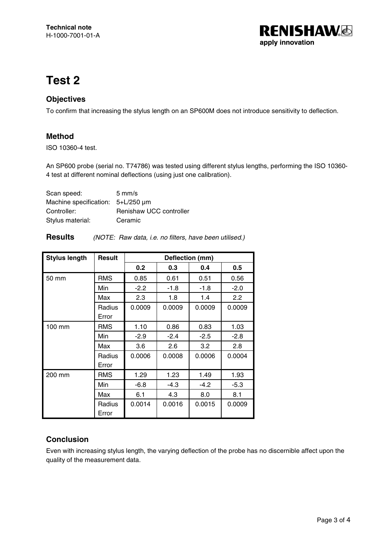

### **Test 2**

#### **Objectives**

To confirm that increasing the stylus length on an SP600M does not introduce sensitivity to deflection.

#### **Method**

ISO 10360-4 test.

An SP600 probe (serial no. T74786) was tested using different stylus lengths, performing the ISO 10360- 4 test at different nominal deflections (using just one calibration).

| Scan speed:                            | $5 \text{ mm/s}$        |
|----------------------------------------|-------------------------|
| Machine specification: $5+L/250 \mu m$ |                         |
| Controller:                            | Renishaw UCC controller |
| Stylus material:                       | Ceramic                 |

| <b>Results</b> |  |  | (NOTE: Raw data, i.e. no filters, have been utilised.) |  |  |
|----------------|--|--|--------------------------------------------------------|--|--|
|----------------|--|--|--------------------------------------------------------|--|--|

| <b>Stylus length</b> | Result          | Deflection (mm) |        |        |        |
|----------------------|-----------------|-----------------|--------|--------|--------|
|                      |                 | 0.2             | 0.3    | 0.4    | 0.5    |
| 50 mm                | <b>RMS</b>      | 0.85            | 0.61   | 0.51   | 0.56   |
|                      | Min             | $-2.2$          | $-1.8$ | $-1.8$ | $-2.0$ |
|                      | Max             | 2.3             | 1.8    | 1.4    | 2.2    |
|                      | Radius<br>Error | 0.0009          | 0.0009 | 0.0009 | 0.0009 |
| 100 mm               | <b>RMS</b>      | 1.10            | 0.86   | 0.83   | 1.03   |
|                      | Min             | $-2.9$          | $-2.4$ | $-2.5$ | $-2.8$ |
|                      | Max             | 3.6             | 2.6    | 3.2    | 2.8    |
|                      | Radius<br>Error | 0.0006          | 0.0008 | 0.0006 | 0.0004 |
| 200 mm               | <b>RMS</b>      | 1.29            | 1.23   | 1.49   | 1.93   |
|                      | Min             | $-6.8$          | $-4.3$ | $-4.2$ | $-5.3$ |
|                      | Max             | 6.1             | 4.3    | 8.0    | 8.1    |
|                      | Radius<br>Error | 0.0014          | 0.0016 | 0.0015 | 0.0009 |

### **Conclusion**

Even with increasing stylus length, the varying deflection of the probe has no discernible affect upon the quality of the measurement data.